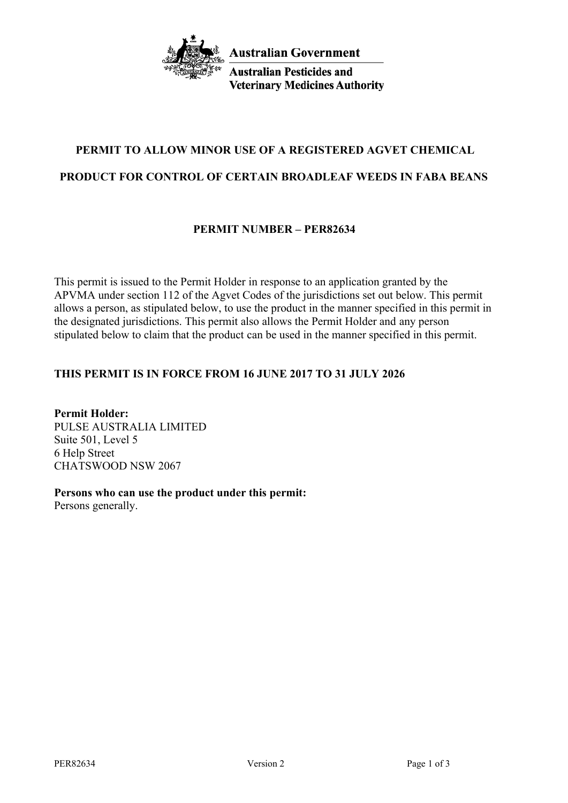

**Australian Pesticides and Veterinary Medicines Authority** 

# **PERMIT TO ALLOW MINOR USE OF A REGISTERED AGVET CHEMICAL**

# **PRODUCT FOR CONTROL OF CERTAIN BROADLEAF WEEDS IN FABA BEANS**

# **PERMIT NUMBER – PER82634**

This permit is issued to the Permit Holder in response to an application granted by the APVMA under section 112 of the Agvet Codes of the jurisdictions set out below. This permit allows a person, as stipulated below, to use the product in the manner specified in this permit in the designated jurisdictions. This permit also allows the Permit Holder and any person stipulated below to claim that the product can be used in the manner specified in this permit.

# **THIS PERMIT IS IN FORCE FROM 16 JUNE 2017 TO 31 JULY 2026**

**Permit Holder:** PULSE AUSTRALIA LIMITED Suite 501, Level 5 6 Help Street CHATSWOOD NSW 2067

**Persons who can use the product under this permit:** Persons generally.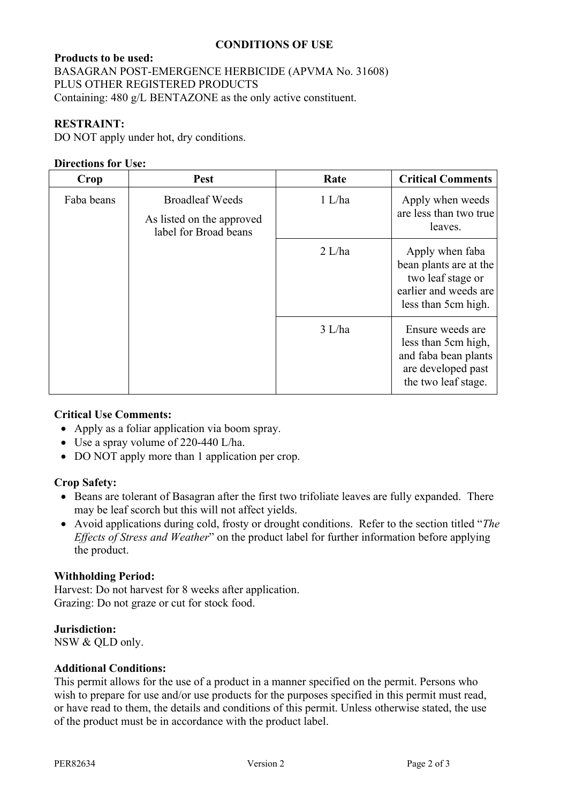# **CONDITIONS OF USE**

## **Products to be used:**

BASAGRAN POST-EMERGENCE HERBICIDE (APVMA No. 31608) PLUS OTHER REGISTERED PRODUCTS Containing: 480 g/L BENTAZONE as the only active constituent.

## **RESTRAINT:**

DO NOT apply under hot, dry conditions.

#### **Directions for Use:**

| Crop       | Pest                                                                         | Rate     | <b>Critical Comments</b>                                                                                       |
|------------|------------------------------------------------------------------------------|----------|----------------------------------------------------------------------------------------------------------------|
| Faba beans | <b>Broadleaf Weeds</b><br>As listed on the approved<br>label for Broad beans | 1 L/ha   | Apply when weeds<br>are less than two true<br>leaves.                                                          |
|            |                                                                              | $2$ L/ha | Apply when faba<br>bean plants are at the<br>two leaf stage or<br>earlier and weeds are<br>less than 5cm high. |
|            |                                                                              | 3 L/ha   | Ensure weeds are<br>less than 5cm high,<br>and faba bean plants<br>are developed past<br>the two leaf stage.   |

#### **Critical Use Comments:**

- Apply as a foliar application via boom spray.
- Use a spray volume of 220-440 L/ha.
- DO NOT apply more than 1 application per crop.

#### **Crop Safety:**

- Beans are tolerant of Basagran after the first two trifoliate leaves are fully expanded. There may be leaf scorch but this will not affect yields.
- Avoid applications during cold, frosty or drought conditions. Refer to the section titled "*The Effects of Stress and Weather*" on the product label for further information before applying the product.

#### **Withholding Period:**

Harvest: Do not harvest for 8 weeks after application. Grazing: Do not graze or cut for stock food.

#### **Jurisdiction:**

NSW & QLD only.

# **Additional Conditions:**

This permit allows for the use of a product in a manner specified on the permit. Persons who wish to prepare for use and/or use products for the purposes specified in this permit must read, or have read to them, the details and conditions of this permit. Unless otherwise stated, the use of the product must be in accordance with the product label.